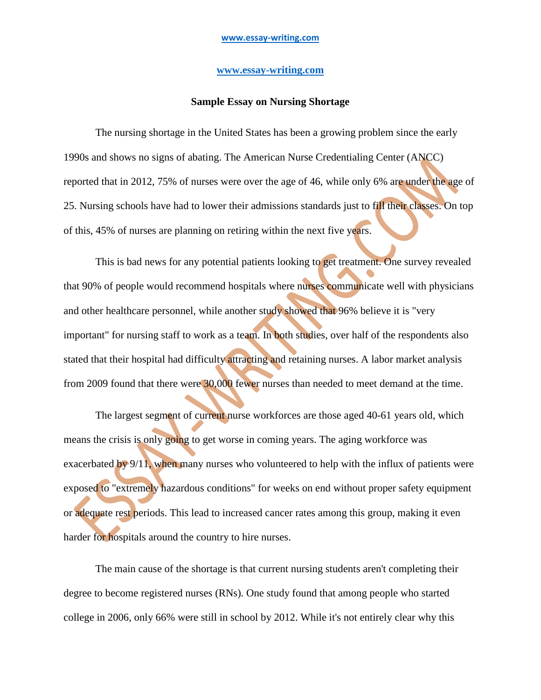## **[www.essay-writing.com](http://www.essay-writing.com/)**

## **Sample Essay on Nursing Shortage**

The nursing shortage in the United States has been a growing problem since the early 1990s and shows no signs of abating. The American Nurse Credentialing Center (ANCC) reported that in 2012, 75% of nurses were over the age of 46, while only 6% are under the age of 25. Nursing schools have had to lower their admissions standards just to fill their classes. On top of this, 45% of nurses are planning on retiring within the next five years.

This is bad news for any potential patients looking to get treatment. One survey revealed that 90% of people would recommend hospitals where nurses communicate well with physicians and other healthcare personnel, while another study showed that 96% believe it is "very important" for nursing staff to work as a team. In both studies, over half of the respondents also stated that their hospital had difficulty attracting and retaining nurses. A labor market analysis from 2009 found that there were 30,000 fewer nurses than needed to meet demand at the time.

The largest segment of current nurse workforces are those aged 40-61 years old, which means the crisis is only going to get worse in coming years. The aging workforce was exacerbated by  $9/11$ , when many nurses who volunteered to help with the influx of patients were exposed to "extremely hazardous conditions" for weeks on end without proper safety equipment or adequate rest periods. This lead to increased cancer rates among this group, making it even harder for hospitals around the country to hire nurses.

The main cause of the shortage is that current nursing students aren't completing their degree to become registered nurses (RNs). One study found that among people who started college in 2006, only 66% were still in school by 2012. While it's not entirely clear why this